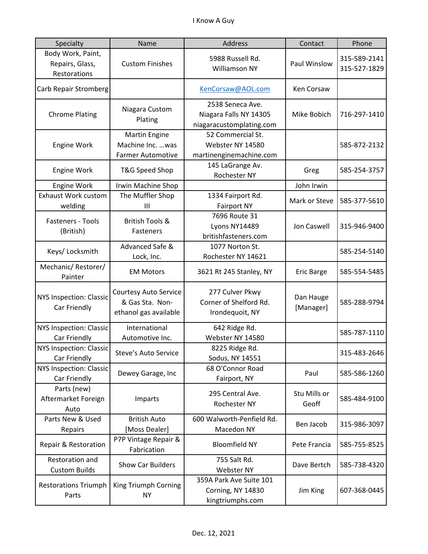| Specialty                                            | Name                                                                     | Address                                                                | Contact                | Phone                        |
|------------------------------------------------------|--------------------------------------------------------------------------|------------------------------------------------------------------------|------------------------|------------------------------|
| Body Work, Paint,<br>Repairs, Glass,<br>Restorations | <b>Custom Finishes</b>                                                   | 5988 Russell Rd.<br><b>Williamson NY</b>                               | Paul Winslow           | 315-589-2141<br>315-527-1829 |
| Carb Repair Stromberg                                |                                                                          | KenCorsaw@AOL.com                                                      | Ken Corsaw             |                              |
| <b>Chrome Plating</b>                                | Niagara Custom<br>Plating                                                | 2538 Seneca Ave.<br>Niagara Falls NY 14305<br>niagaracustomplating.com | Mike Bobich            | 716-297-1410                 |
| <b>Engine Work</b>                                   | Martin Engine<br>Machine Inc.  was<br><b>Farmer Automotive</b>           | 52 Commercial St.<br>Webster NY 14580<br>martinenginemachine.com       |                        | 585-872-2132                 |
| <b>Engine Work</b>                                   | T&G Speed Shop                                                           | 145 LaGrange Av.<br>Rochester NY                                       | Greg                   | 585-254-3757                 |
| Engine Work                                          | Irwin Machine Shop                                                       |                                                                        | John Irwin             |                              |
| <b>Exhaust Work custom</b><br>welding                | The Muffler Shop<br>III                                                  | 1334 Fairport Rd.<br><b>Fairport NY</b>                                | Mark or Steve          | 585-377-5610                 |
| Fasteners - Tools<br>(British)                       | <b>British Tools &amp;</b><br>Fasteners                                  | 7696 Route 31<br>Lyons NY14489<br>britishfasteners.com                 | Jon Caswell            | 315-946-9400                 |
| Keys/ Locksmith                                      | Advanced Safe &<br>Lock, Inc.                                            | 1077 Norton St.<br>Rochester NY 14621                                  |                        | 585-254-5140                 |
| Mechanic/Restorer/<br>Painter                        | <b>EM Motors</b>                                                         | 3621 Rt 245 Stanley, NY                                                | <b>Eric Barge</b>      | 585-554-5485                 |
| <b>NYS Inspection: Classic</b><br>Car Friendly       | <b>Courtesy Auto Service</b><br>& Gas Sta. Non-<br>ethanol gas available | 277 Culver Pkwy<br>Corner of Shelford Rd.<br>Irondequoit, NY           | Dan Hauge<br>[Manager] | 585-288-9794                 |
| <b>NYS Inspection: Classic</b><br>Car Friendly       | International<br>Automotive Inc.                                         | 642 Ridge Rd.<br>Webster NY 14580                                      |                        | 585-787-1110                 |
| NYS Inspection: Classic<br>Car Friendly              | Steve's Auto Service                                                     | 8225 Ridge Rd.<br>Sodus, NY 14551                                      |                        | 315-483-2646                 |
| NYS Inspection: Classic<br>Car Friendly              | Dewey Garage, Inc                                                        | 68 O'Connor Road<br>Fairport, NY                                       | Paul                   | 585-586-1260                 |
| Parts (new)<br>Aftermarket Foreign<br>Auto           | Imparts                                                                  | 295 Central Ave.<br>Rochester NY                                       | Stu Mills or<br>Geoff  | 585-484-9100                 |
| Parts New & Used<br>Repairs                          | <b>British Auto</b><br>[Moss Dealer]                                     | 600 Walworth-Penfield Rd.<br>Macedon NY                                | Ben Jacob              | 315-986-3097                 |
| Repair & Restoration                                 | P7P Vintage Repair &<br>Fabrication                                      | <b>Bloomfield NY</b>                                                   | Pete Francia           | 585-755-8525                 |
| Restoration and<br><b>Custom Builds</b>              | Show Car Builders                                                        | 755 Salt Rd.<br>Webster NY                                             | Dave Bertch            | 585-738-4320                 |
| <b>Restorations Triumph</b><br>Parts                 | King Triumph Corning<br><b>NY</b>                                        | 359A Park Ave Suite 101<br>Corning, NY 14830<br>kingtriumphs.com       | Jim King               | 607-368-0445                 |